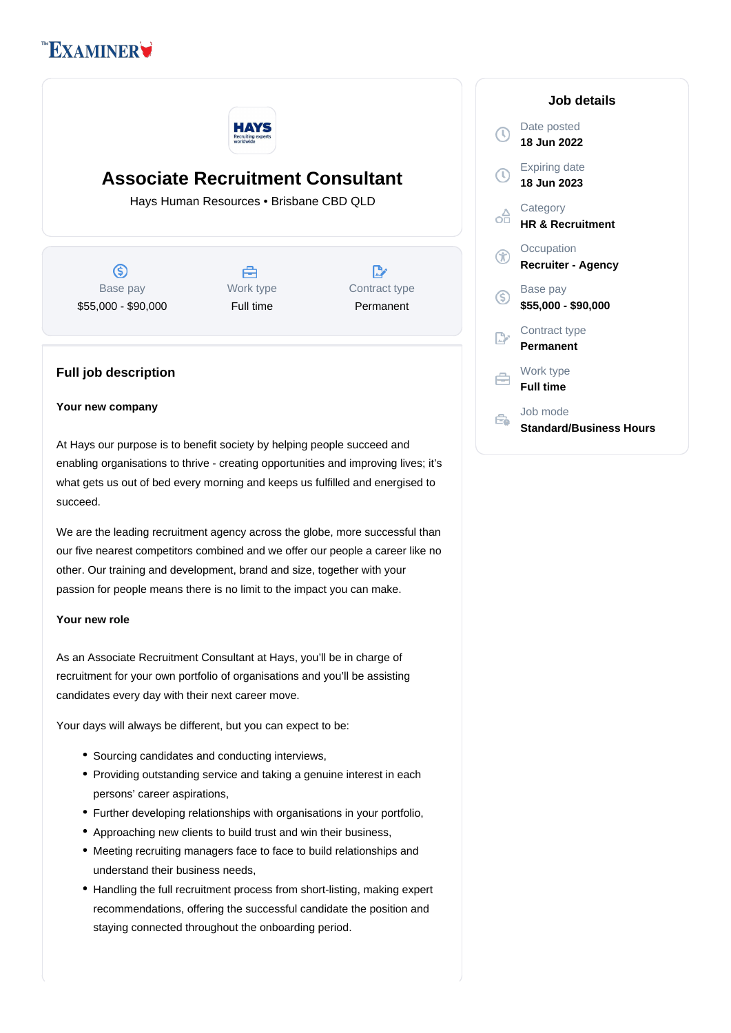# **EXAMINER**



## **Associate Recruitment Consultant**

Hays Human Resources • Brisbane CBD QLD

(S) Base pay \$55,000 - \$90,000



 $\mathbb{R}^{\cdot}$ Contract type Permanent

### **Full job description**

#### **Your new company**

At Hays our purpose is to benefit society by helping people succeed and enabling organisations to thrive - creating opportunities and improving lives; it's what gets us out of bed every morning and keeps us fulfilled and energised to succeed.

We are the leading recruitment agency across the globe, more successful than our five nearest competitors combined and we offer our people a career like no other. Our training and development, brand and size, together with your passion for people means there is no limit to the impact you can make.

#### **Your new role**

As an Associate Recruitment Consultant at Hays, you'll be in charge of recruitment for your own portfolio of organisations and you'll be assisting candidates every day with their next career move.

Your days will always be different, but you can expect to be:

- Sourcing candidates and conducting interviews,
- Providing outstanding service and taking a genuine interest in each persons' career aspirations,
- Further developing relationships with organisations in your portfolio,
- Approaching new clients to build trust and win their business,
- Meeting recruiting managers face to face to build relationships and understand their business needs,
- Handling the full recruitment process from short-listing, making expert recommendations, offering the successful candidate the position and staying connected throughout the onboarding period.